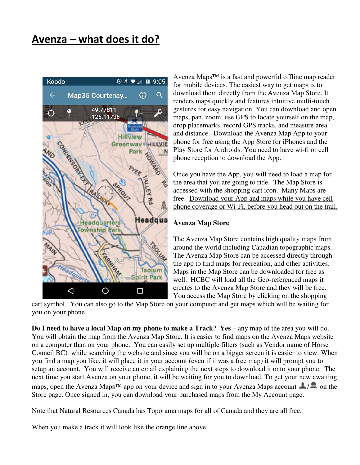

Avenza Maps™ is a fast and powerful offline map reader for mobile devices. The easiest way to get maps is to download them directly from the Avenza Map Store. It renders maps quickly and features intuitive multi-touch gestures for easy navigation. You can download and open maps, pan, zoom, use GPS to locate yourself on the map, drop placemarks, record GPS tracks, and measure area and distance. Download the Avenza Map App to your phone for free using the App Store for iPhones and the Play Store for Androids. You need to have wi-fi or cell phone reception to download the App.

Once you have the App, you will need to load a map for the area that you are going to ride. The Map Store is accessed with the shopping cart icon. Many Maps are free. Download your App and maps while you have cell phone coverage or Wi-Fi, before you head out on the trail.

#### **Avenza Map Store**

The Avenza Map Store contains high quality maps from around the world including Canadian topographic maps. The Avenza Map Store can be accessed directly through the app to find maps for recreation, and other activities. Maps in the Map Store can be downloaded for free as well. HCBC will load all the Geo-referenced maps it creates to the Avenza Map Store and they will be free. You access the Map Store by clicking on the shopping

cart symbol. You can also go to the Map Store on your computer and get maps which will be waiting for you on your phone.

**Do I need to have a local Map on my phone to make a Track**? **Yes** – any map of the area you will do. You will obtain the map from the Avenza Map Store. It is easier to find maps on the Avenza Maps website on a computer than on your phone. You can easily set up multiple filters (such as Vendor name of Horse Council BC) while searching the website and since you will be on a bigger screen it is easier to view. When you find a map you like, it will place it in your account (even if it was a free map) it will prompt you to setup an account. You will receive an email explaining the next steps to download it onto your phone. The next time you start Avenza on your phone, it will be waiting for you to download. To get your new awaiting maps, open the Avenza Maps<sup>TM</sup> app on your device and sign in to your Avenza Maps account  $\Box/\Box$  on the Store page. Once signed in, you can download your purchased maps from the My Account page.

Note that Natural Resources Canada has Toporama maps for all of Canada and they are all free.

When you make a track it will look like the orange line above.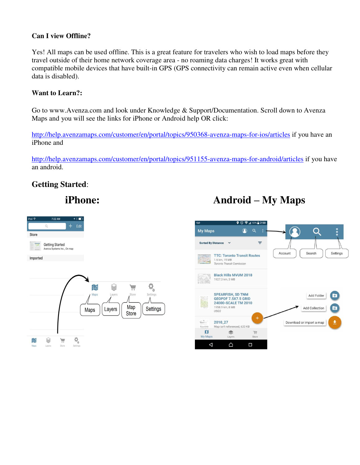#### **Can I view Offline?**

Yes! All maps can be used offline. This is a great feature for travelers who wish to load maps before they travel outside of their home network coverage area - no roaming data charges! It works great with compatible mobile devices that have built-in GPS (GPS connectivity can remain active even when cellular data is disabled).

#### **Want to Learn?:**

Go to www.Avenza.com and look under Knowledge & Support/Documentation. Scroll down to Avenza Maps and you will see the links for iPhone or Android help OR click:

<http://help.avenzamaps.com/customer/en/portal/topics/950368-avenza-maps-for-ios/articles>if you have an iPhone and

<http://help.avenzamaps.com/customer/en/portal/topics/951155-avenza-maps-for-android/articles>if you have an android.

# **Getting Started**:

# **iPhone:** Android – My Maps



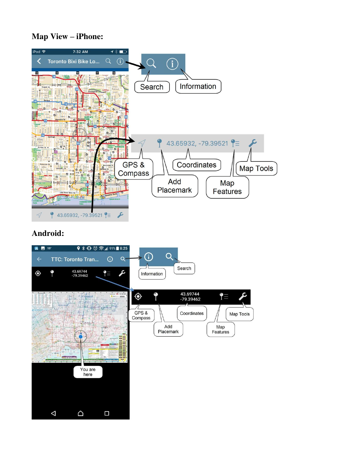# **Map View – iPhone:**



# **Android:**

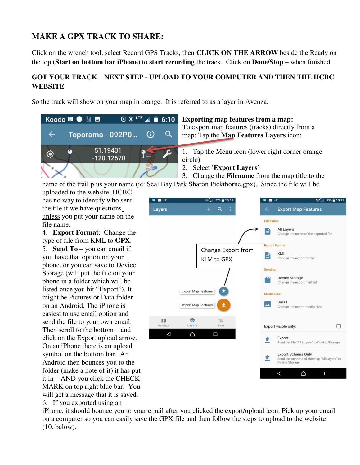# **MAKE A GPX TRACK TO SHARE:**

Click on the wrench tool, select Record GPS Tracks, then **CLICK ON THE ARROW** beside the Ready on the top (**Start on bottom bar iPhone**) to **start recording** the track. Click on **Done/Stop** – when finished.

### **GOT YOUR TRACK – NEXT STEP - UPLOAD TO YOUR COMPUTER AND THEN THE HCBC WEBSITE**

So the track will show on your map in orange. It is referred to as a layer in Avenza.



#### **Exporting map features from a map:**

To export map features (tracks) directly from a map: Tap the **Map Features Layers** icon:

1. Tap the Menu icon (lower right corner orange circle)

2. Select **'Export Layers'**

3. Change the **Filename** from the map title to the name of the trail plus your name (ie: Seal Bay Park Sharon Pickthorne.gpx). Since the file will be

uploaded to the website, HCBC has no way to identify who sent the file if we have questionsunless you put your name on the file name.

4. **Export Format**: Change the type of file from KML to **GPX**. 5. **Send To** – you can email if you have that option on your phone, or you can save to Device Storage (will put the file on your phone in a folder which will be listed once you hit "Export"). It might be Pictures or Data folder on an Android. The iPhone is easiest to use email option and send the file to your own email. Then scroll to the bottom – and click on the Export upload arrow. On an iPhone there is an upload symbol on the bottom bar. An Android then bounces you to the folder (make a note of it) it has put it in – AND you click the CHECK MARK on top right blue bar. You will get a message that it is saved.

6. If you exported using an



iPhone, it should bounce you to your email after you clicked the export/upload icon. Pick up your email on a computer so you can easily save the GPX file and then follow the steps to upload to the website (10. below).